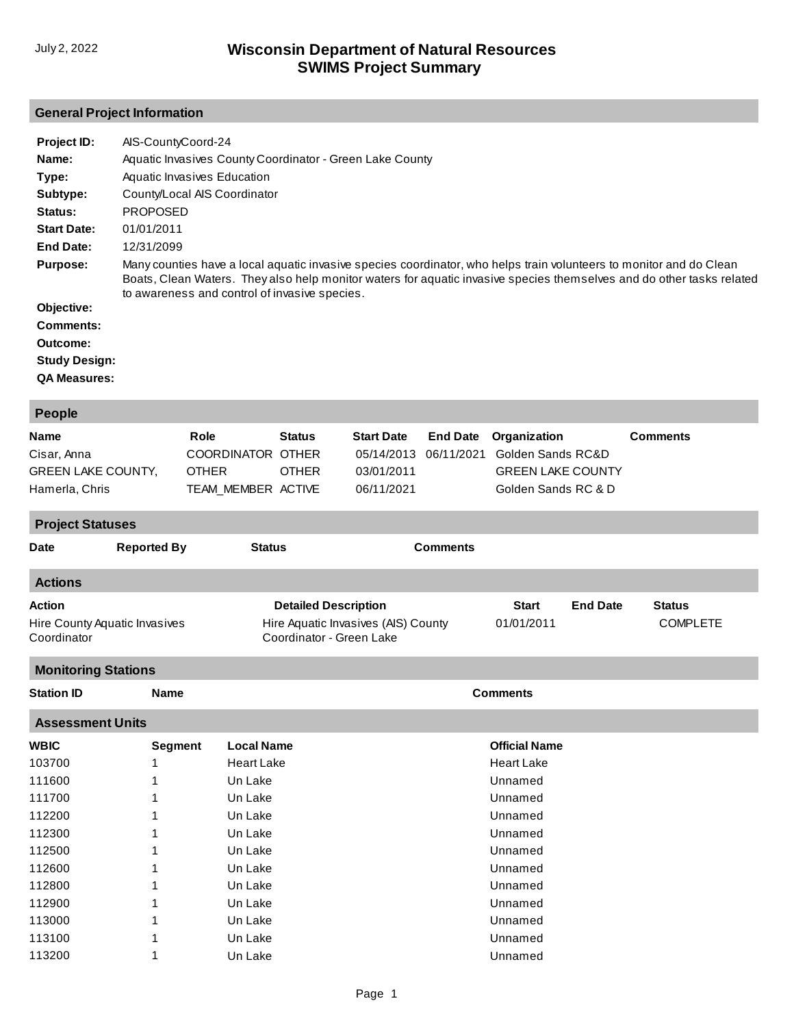### **General Project Information**

| Project ID:          | AIS-CountyCoord-24                                                                                                                                                                                                                                                                            |
|----------------------|-----------------------------------------------------------------------------------------------------------------------------------------------------------------------------------------------------------------------------------------------------------------------------------------------|
| Name:                | Aquatic Invasives County Coordinator - Green Lake County                                                                                                                                                                                                                                      |
| Type:                | Aquatic Invasives Education                                                                                                                                                                                                                                                                   |
| Subtype:             | County/Local AIS Coordinator                                                                                                                                                                                                                                                                  |
| Status:              | <b>PROPOSED</b>                                                                                                                                                                                                                                                                               |
| <b>Start Date:</b>   | 01/01/2011                                                                                                                                                                                                                                                                                    |
| End Date:            | 12/31/2099                                                                                                                                                                                                                                                                                    |
| <b>Purpose:</b>      | Many counties have a local aguatic invasive species coordinator, who helps train volunteers to monitor and do Clean<br>Boats, Clean Waters. They also help monitor waters for aquatic invasive species themselves and do other tasks related<br>to awareness and control of invasive species. |
| Objective:           |                                                                                                                                                                                                                                                                                               |
| <b>Comments:</b>     |                                                                                                                                                                                                                                                                                               |
| Outcome:             |                                                                                                                                                                                                                                                                                               |
| <b>Study Design:</b> |                                                                                                                                                                                                                                                                                               |
| <b>QA Measures:</b>  |                                                                                                                                                                                                                                                                                               |

| People                                                                    |                |                                                                 |                                                                                                |                                                             |                               |                                                                                      |                 |                                  |
|---------------------------------------------------------------------------|----------------|-----------------------------------------------------------------|------------------------------------------------------------------------------------------------|-------------------------------------------------------------|-------------------------------|--------------------------------------------------------------------------------------|-----------------|----------------------------------|
| <b>Name</b><br>Cisar, Anna<br><b>GREEN LAKE COUNTY,</b><br>Hamerla, Chris |                | Role<br>COORDINATOR OTHER<br><b>OTHER</b><br>TEAM_MEMBER ACTIVE | <b>Status</b><br><b>OTHER</b>                                                                  | <b>Start Date</b><br>05/14/2013<br>03/01/2011<br>06/11/2021 | <b>End Date</b><br>06/11/2021 | Organization<br>Golden Sands RC&D<br><b>GREEN LAKE COUNTY</b><br>Golden Sands RC & D |                 | <b>Comments</b>                  |
| <b>Project Statuses</b>                                                   |                |                                                                 |                                                                                                |                                                             |                               |                                                                                      |                 |                                  |
| <b>Reported By</b><br><b>Date</b>                                         |                |                                                                 | <b>Status</b>                                                                                  |                                                             | <b>Comments</b>               |                                                                                      |                 |                                  |
| <b>Actions</b>                                                            |                |                                                                 |                                                                                                |                                                             |                               |                                                                                      |                 |                                  |
| <b>Action</b><br>Hire County Aquatic Invasives<br>Coordinator             |                |                                                                 | <b>Detailed Description</b><br>Hire Aquatic Invasives (AIS) County<br>Coordinator - Green Lake |                                                             |                               | <b>Start</b><br>01/01/2011                                                           | <b>End Date</b> | <b>Status</b><br><b>COMPLETE</b> |
| <b>Monitoring Stations</b>                                                |                |                                                                 |                                                                                                |                                                             |                               |                                                                                      |                 |                                  |
| <b>Station ID</b>                                                         | <b>Name</b>    |                                                                 |                                                                                                |                                                             |                               | <b>Comments</b>                                                                      |                 |                                  |
| <b>Assessment Units</b>                                                   |                |                                                                 |                                                                                                |                                                             |                               |                                                                                      |                 |                                  |
| <b>WBIC</b>                                                               | <b>Segment</b> | <b>Local Name</b>                                               |                                                                                                |                                                             |                               | <b>Official Name</b>                                                                 |                 |                                  |
| 103700                                                                    | 1              | <b>Heart Lake</b>                                               |                                                                                                |                                                             |                               | <b>Heart Lake</b>                                                                    |                 |                                  |
| 111600                                                                    |                | Un Lake                                                         |                                                                                                |                                                             |                               | Unnamed                                                                              |                 |                                  |
| 111700                                                                    |                | Un Lake                                                         |                                                                                                |                                                             |                               | Unnamed                                                                              |                 |                                  |
| 112200                                                                    |                | Un Lake                                                         |                                                                                                |                                                             |                               | Unnamed                                                                              |                 |                                  |
| 112300                                                                    |                | Un Lake                                                         |                                                                                                |                                                             |                               | Unnamed                                                                              |                 |                                  |
| 112500                                                                    |                | Un Lake                                                         |                                                                                                |                                                             |                               | Unnamed                                                                              |                 |                                  |
| 112600                                                                    | 1              | Un Lake                                                         |                                                                                                |                                                             |                               | Unnamed                                                                              |                 |                                  |
| 112800                                                                    |                | Un Lake                                                         |                                                                                                |                                                             |                               | Unnamed                                                                              |                 |                                  |
| 112900                                                                    |                | Un Lake                                                         |                                                                                                |                                                             |                               | Unnamed                                                                              |                 |                                  |
| 113000                                                                    |                | Un Lake                                                         |                                                                                                |                                                             |                               | Unnamed                                                                              |                 |                                  |
| 113100                                                                    |                | Un Lake                                                         |                                                                                                |                                                             |                               | Unnamed                                                                              |                 |                                  |
| 113200                                                                    | 1              | Un Lake                                                         |                                                                                                |                                                             |                               | Unnamed                                                                              |                 |                                  |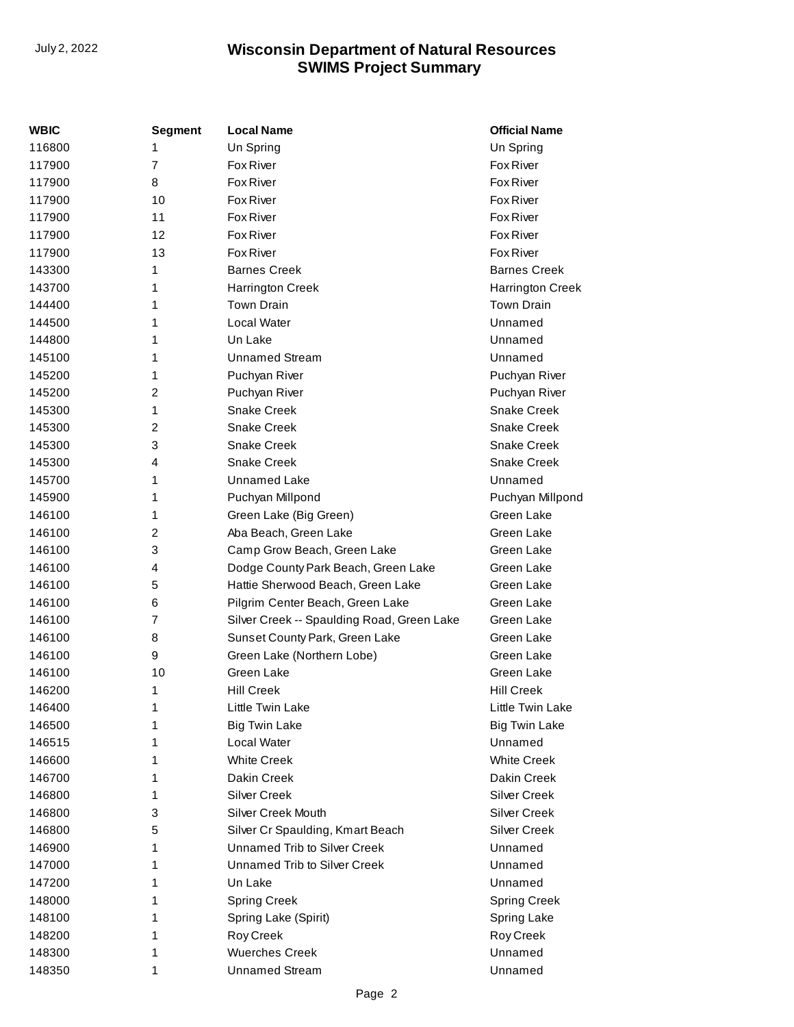| WBIC   | <b>Segment</b> | <b>Local Name</b>                          | <b>Official Name</b> |
|--------|----------------|--------------------------------------------|----------------------|
| 116800 | 1              | Un Spring                                  | Un Spring            |
| 117900 | 7              | Fox River                                  | Fox River            |
| 117900 | 8              | <b>Fox River</b>                           | Fox River            |
| 117900 | 10             | Fox River                                  | Fox River            |
| 117900 | 11             | Fox River                                  | Fox River            |
| 117900 | 12             | <b>Fox River</b>                           | Fox River            |
| 117900 | 13             | <b>Fox River</b>                           | Fox River            |
| 143300 | 1              | <b>Barnes Creek</b>                        | <b>Barnes Creek</b>  |
| 143700 | 1              | <b>Harrington Creek</b>                    | Harrington Creek     |
| 144400 | 1              | <b>Town Drain</b>                          | <b>Town Drain</b>    |
| 144500 | 1              | Local Water                                | Unnamed              |
| 144800 | 1              | Un Lake                                    | Unnamed              |
| 145100 | 1              | <b>Unnamed Stream</b>                      | Unnamed              |
| 145200 | 1              | Puchyan River                              | Puchyan River        |
| 145200 | 2              | Puchyan River                              | Puchyan River        |
| 145300 | 1              | <b>Snake Creek</b>                         | Snake Creek          |
| 145300 | 2              | Snake Creek                                | Snake Creek          |
| 145300 | 3              | <b>Snake Creek</b>                         | <b>Snake Creek</b>   |
| 145300 | 4              | Snake Creek                                | Snake Creek          |
| 145700 | 1              | Unnamed Lake                               | Unnamed              |
| 145900 | 1              | Puchyan Millpond                           | Puchyan Millpond     |
| 146100 | 1              | Green Lake (Big Green)                     | Green Lake           |
| 146100 | 2              | Aba Beach, Green Lake                      | Green Lake           |
| 146100 | 3              | Camp Grow Beach, Green Lake                | Green Lake           |
| 146100 | 4              | Dodge County Park Beach, Green Lake        | Green Lake           |
| 146100 | 5              | Hattie Sherwood Beach, Green Lake          | Green Lake           |
| 146100 | 6              | Pilgrim Center Beach, Green Lake           | Green Lake           |
| 146100 | 7              | Silver Creek -- Spaulding Road, Green Lake | Green Lake           |
| 146100 | 8              | Sunset County Park, Green Lake             | Green Lake           |
| 146100 | 9              | Green Lake (Northern Lobe)                 | Green Lake           |
| 146100 | 10             | Green Lake                                 | Green Lake           |
| 146200 | 1              | <b>Hill Creek</b>                          | <b>Hill Creek</b>    |
| 146400 | 1              | Little Twin Lake                           | Little Twin Lake     |
| 146500 | 1              | <b>Big Twin Lake</b>                       | <b>Big Twin Lake</b> |
| 146515 | 1              | Local Water                                | Unnamed              |
| 146600 | 1              | <b>White Creek</b>                         | <b>White Creek</b>   |
| 146700 | 1              | Dakin Creek                                | Dakin Creek          |
| 146800 | 1              | Silver Creek                               | <b>Silver Creek</b>  |
| 146800 | 3              | Silver Creek Mouth                         | <b>Silver Creek</b>  |
| 146800 | 5              | Silver Cr Spaulding, Kmart Beach           | <b>Silver Creek</b>  |
| 146900 | 1              | Unnamed Trib to Silver Creek               | Unnamed              |
| 147000 | 1              | Unnamed Trib to Silver Creek               | Unnamed              |
| 147200 | 1              | Un Lake                                    | Unnamed              |
| 148000 | 1              | <b>Spring Creek</b>                        | <b>Spring Creek</b>  |
| 148100 | 1              | Spring Lake (Spirit)                       | Spring Lake          |
| 148200 | 1              | Roy Creek                                  | Roy Creek            |
| 148300 | 1              | <b>Wuerches Creek</b>                      | Unnamed              |
| 148350 | 1              | <b>Unnamed Stream</b>                      | Unnamed              |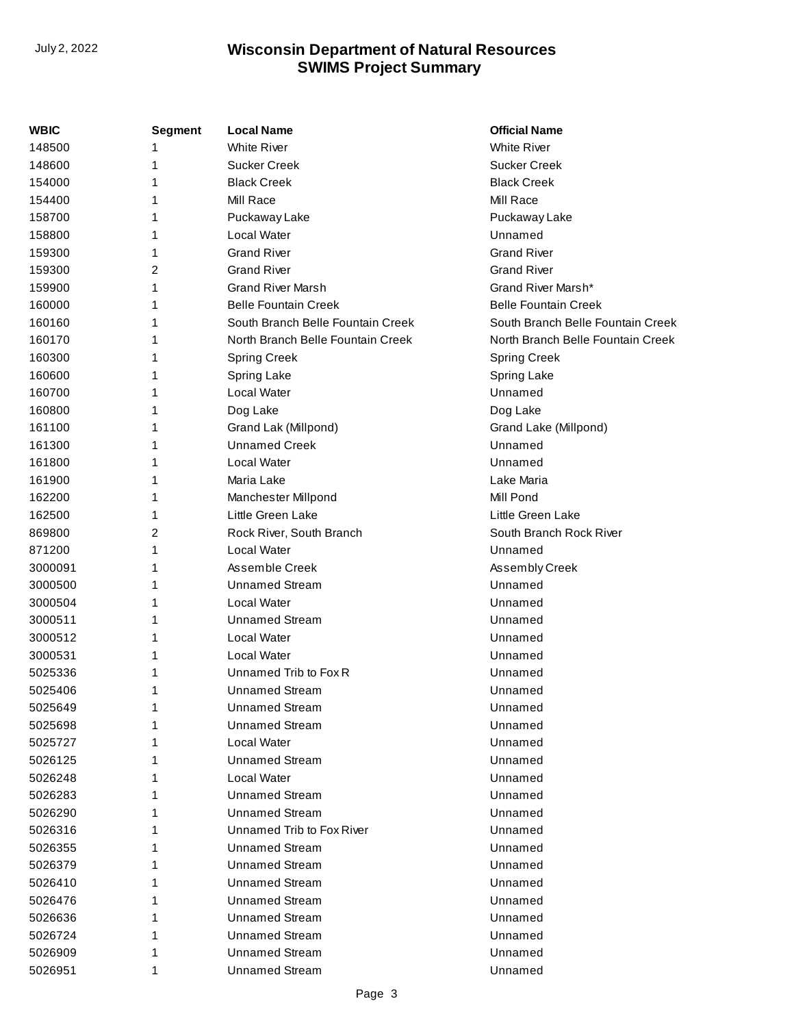| <b>WBIC</b> | <b>Segment</b> | <b>Local Name</b>                 | <b>Official Name</b>              |
|-------------|----------------|-----------------------------------|-----------------------------------|
| 148500      |                | <b>White River</b>                | <b>White River</b>                |
| 148600      | 1              | <b>Sucker Creek</b>               | <b>Sucker Creek</b>               |
| 154000      | 1              | <b>Black Creek</b>                | <b>Black Creek</b>                |
| 154400      | 1              | Mill Race                         | Mill Race                         |
| 158700      | 1              | Puckaway Lake                     | Puckaway Lake                     |
| 158800      | 1              | Local Water                       | Unnamed                           |
| 159300      | 1              | <b>Grand River</b>                | <b>Grand River</b>                |
| 159300      | 2              | <b>Grand River</b>                | <b>Grand River</b>                |
| 159900      | 1              | <b>Grand River Marsh</b>          | Grand River Marsh*                |
| 160000      | 1              | <b>Belle Fountain Creek</b>       | <b>Belle Fountain Creek</b>       |
| 160160      | 1              | South Branch Belle Fountain Creek | South Branch Belle Fountain Creek |
| 160170      | 1              | North Branch Belle Fountain Creek | North Branch Belle Fountain Creek |
| 160300      | 1              | <b>Spring Creek</b>               | <b>Spring Creek</b>               |
| 160600      | 1              | Spring Lake                       | Spring Lake                       |
| 160700      | 1              | Local Water                       | Unnamed                           |
| 160800      | 1              | Dog Lake                          | Dog Lake                          |
| 161100      | 1              | Grand Lak (Millpond)              | Grand Lake (Millpond)             |
| 161300      | 1              | <b>Unnamed Creek</b>              | Unnamed                           |
| 161800      | 1              | Local Water                       | Unnamed                           |
| 161900      | 1              | Maria Lake                        | Lake Maria                        |
| 162200      | 1              | Manchester Millpond               | Mill Pond                         |
| 162500      | 1              | Little Green Lake                 | Little Green Lake                 |
| 869800      | 2              | Rock River, South Branch          | South Branch Rock River           |
| 871200      | 1              | Local Water                       | Unnamed                           |
| 3000091     | 1              | Assemble Creek                    | Assembly Creek                    |
| 3000500     | 1              | <b>Unnamed Stream</b>             | Unnamed                           |
| 3000504     | 1              | Local Water                       | Unnamed                           |
| 3000511     | 1              | <b>Unnamed Stream</b>             | Unnamed                           |
| 3000512     | 1              | Local Water                       | Unnamed                           |
| 3000531     | 1              | Local Water                       | Unnamed                           |
| 5025336     | 1              | Unnamed Trib to Fox R             | Unnamed                           |
| 5025406     | 1              | <b>Unnamed Stream</b>             | Unnamed                           |
| 5025649     | 1              | <b>Unnamed Stream</b>             | Unnamed                           |
| 5025698     | 1              | <b>Unnamed Stream</b>             | Unnamed                           |
| 5025727     | 1              | Local Water                       | Unnamed                           |
| 5026125     | 1              | Unnamed Stream                    | Unnamed                           |
| 5026248     | 1              | Local Water                       | Unnamed                           |
| 5026283     | 1              | Unnamed Stream                    | Unnamed                           |
| 5026290     | 1              | <b>Unnamed Stream</b>             | Unnamed                           |
| 5026316     | 1              | Unnamed Trib to Fox River         | Unnamed                           |
| 5026355     | 1              | <b>Unnamed Stream</b>             | Unnamed                           |
| 5026379     | 1              | <b>Unnamed Stream</b>             | Unnamed                           |
| 5026410     | 1              | <b>Unnamed Stream</b>             | Unnamed                           |
| 5026476     | 1              | Unnamed Stream                    | Unnamed                           |
| 5026636     | 1              | <b>Unnamed Stream</b>             | Unnamed                           |
| 5026724     | 1              | <b>Unnamed Stream</b>             | Unnamed                           |
| 5026909     | 1              | <b>Unnamed Stream</b>             | Unnamed                           |
| 5026951     | 1              | <b>Unnamed Stream</b>             | Unnamed                           |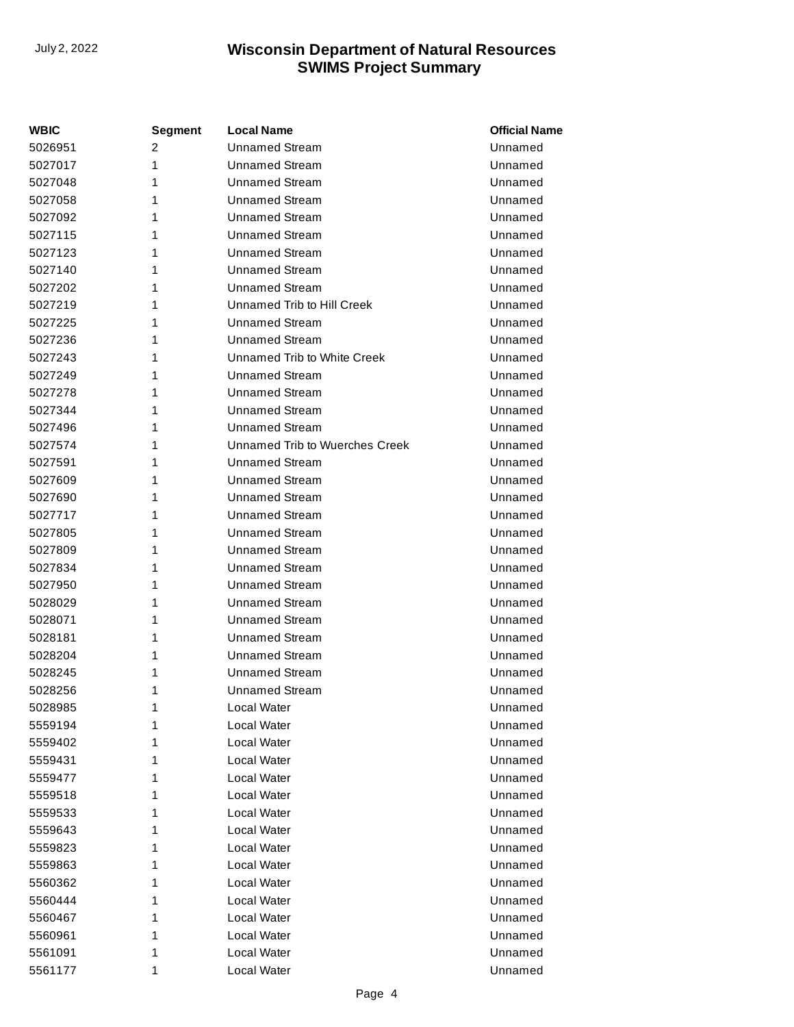| <b>WBIC</b> | <b>Segment</b> | <b>Local Name</b>              | <b>Official Name</b> |
|-------------|----------------|--------------------------------|----------------------|
| 5026951     | 2              | <b>Unnamed Stream</b>          | Unnamed              |
| 5027017     | 1              | <b>Unnamed Stream</b>          | Unnamed              |
| 5027048     | 1              | <b>Unnamed Stream</b>          | Unnamed              |
| 5027058     | 1              | <b>Unnamed Stream</b>          | Unnamed              |
| 5027092     | 1              | <b>Unnamed Stream</b>          | Unnamed              |
| 5027115     | 1              | <b>Unnamed Stream</b>          | Unnamed              |
| 5027123     | 1              | <b>Unnamed Stream</b>          | Unnamed              |
| 5027140     | 1              | <b>Unnamed Stream</b>          | Unnamed              |
| 5027202     | 1              | <b>Unnamed Stream</b>          | Unnamed              |
| 5027219     | 1              | Unnamed Trib to Hill Creek     | Unnamed              |
| 5027225     | 1              | <b>Unnamed Stream</b>          | Unnamed              |
| 5027236     | 1              | <b>Unnamed Stream</b>          | Unnamed              |
| 5027243     | 1              | Unnamed Trib to White Creek    | Unnamed              |
| 5027249     | 1              | <b>Unnamed Stream</b>          | Unnamed              |
| 5027278     | 1              | <b>Unnamed Stream</b>          | Unnamed              |
| 5027344     | 1              | <b>Unnamed Stream</b>          | Unnamed              |
| 5027496     | 1              | <b>Unnamed Stream</b>          | Unnamed              |
| 5027574     | 1              | Unnamed Trib to Wuerches Creek | Unnamed              |
| 5027591     | 1              | <b>Unnamed Stream</b>          | Unnamed              |
| 5027609     | 1              | Unnamed Stream                 | Unnamed              |
| 5027690     | 1              | <b>Unnamed Stream</b>          | Unnamed              |
| 5027717     | 1              | <b>Unnamed Stream</b>          | Unnamed              |
| 5027805     | 1              | <b>Unnamed Stream</b>          | Unnamed              |
| 5027809     | 1              | Unnamed Stream                 | Unnamed              |
| 5027834     | 1              | <b>Unnamed Stream</b>          | Unnamed              |
| 5027950     | 1              | <b>Unnamed Stream</b>          | Unnamed              |
| 5028029     | 1              | <b>Unnamed Stream</b>          | Unnamed              |
| 5028071     | 1              | <b>Unnamed Stream</b>          | Unnamed              |
| 5028181     | 1              | <b>Unnamed Stream</b>          | Unnamed              |
| 5028204     | 1              | <b>Unnamed Stream</b>          | Unnamed              |
| 5028245     | 1              | <b>Unnamed Stream</b>          | Unnamed              |
| 5028256     | 1              | Unnamed Stream                 | Unnamed              |
| 5028985     | 1              | Local Water                    | Unnamed              |
| 5559194     | 1              | Local Water                    | Unnamed              |
| 5559402     | 1              | Local Water                    | Unnamed              |
| 5559431     | 1              | Local Water                    | Unnamed              |
| 5559477     | 1              | Local Water                    | Unnamed              |
| 5559518     | 1              | Local Water                    | Unnamed              |
| 5559533     | 1              | Local Water                    | Unnamed              |
| 5559643     | 1              | Local Water                    | Unnamed              |
| 5559823     | 1              | Local Water                    | Unnamed              |
| 5559863     | 1              | Local Water                    | Unnamed              |
| 5560362     | 1              | Local Water                    | Unnamed              |
| 5560444     | 1              | Local Water                    | Unnamed              |
| 5560467     | 1              | Local Water                    | Unnamed              |
| 5560961     | 1              | Local Water                    | Unnamed              |
| 5561091     | 1              | Local Water                    | Unnamed              |
| 5561177     | 1              | Local Water                    | Unnamed              |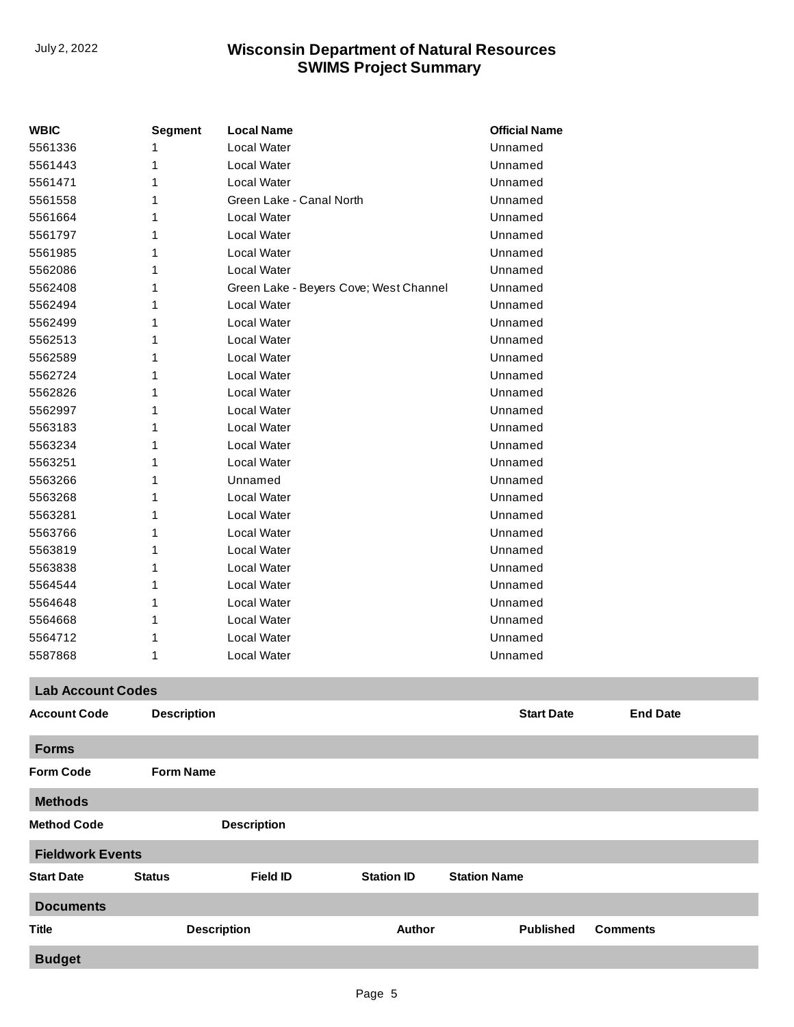| <b>WBIC</b>              | <b>Segment</b>     | <b>Local Name</b>                      |                   | <b>Official Name</b> |                 |  |
|--------------------------|--------------------|----------------------------------------|-------------------|----------------------|-----------------|--|
| 5561336                  | 1                  | Local Water                            |                   | Unnamed              |                 |  |
| 5561443                  | 1                  | Local Water                            |                   | Unnamed              |                 |  |
| 5561471                  | 1                  | Local Water                            |                   | Unnamed              |                 |  |
| 5561558                  | 1                  | Green Lake - Canal North               |                   | Unnamed              |                 |  |
| 5561664                  |                    | Local Water                            |                   | Unnamed              |                 |  |
| 5561797                  | 1                  | Local Water                            |                   | Unnamed              |                 |  |
| 5561985                  | 1                  | Local Water                            |                   | Unnamed              |                 |  |
| 5562086                  | 1                  | Local Water                            |                   | Unnamed              |                 |  |
| 5562408                  | 1                  | Green Lake - Beyers Cove; West Channel |                   | Unnamed              |                 |  |
| 5562494                  | 1                  | Local Water                            |                   | Unnamed              |                 |  |
| 5562499                  | 1                  | Local Water                            |                   | Unnamed              |                 |  |
| 5562513                  | 1                  | Local Water                            |                   | Unnamed              |                 |  |
| 5562589                  |                    | Local Water                            |                   | Unnamed              |                 |  |
| 5562724                  |                    | Local Water                            |                   | Unnamed              |                 |  |
| 5562826                  | 1                  | Local Water                            |                   | Unnamed              |                 |  |
| 5562997                  | 1                  | Local Water                            |                   | Unnamed              |                 |  |
| 5563183                  | 1                  | Local Water                            |                   | Unnamed              |                 |  |
| 5563234                  |                    | Local Water                            |                   | Unnamed              |                 |  |
| 5563251                  | 1                  | Local Water                            |                   | Unnamed              |                 |  |
| 5563266                  | 1                  | Unnamed                                |                   | Unnamed              |                 |  |
| 5563268                  |                    | Local Water                            |                   | Unnamed              |                 |  |
| 5563281                  |                    | Local Water                            |                   | Unnamed              |                 |  |
| 5563766                  | 1                  | Local Water                            |                   | Unnamed              |                 |  |
| 5563819                  | 1                  | Local Water                            |                   | Unnamed              |                 |  |
| 5563838                  | 1                  | Local Water                            |                   | Unnamed              |                 |  |
| 5564544                  |                    | Local Water                            |                   | Unnamed              |                 |  |
| 5564648                  | 1                  | Local Water                            |                   | Unnamed              |                 |  |
| 5564668                  | 1                  | Local Water                            |                   | Unnamed              |                 |  |
| 5564712                  |                    | Local Water                            |                   | Unnamed              |                 |  |
| 5587868                  | 1                  | Local Water                            |                   | Unnamed              |                 |  |
| <b>Lab Account Codes</b> |                    |                                        |                   |                      |                 |  |
| <b>Account Code</b>      | <b>Description</b> |                                        |                   | <b>Start Date</b>    | <b>End Date</b> |  |
| <b>Forms</b>             |                    |                                        |                   |                      |                 |  |
| <b>Form Code</b>         | <b>Form Name</b>   |                                        |                   |                      |                 |  |
| <b>Methods</b>           |                    |                                        |                   |                      |                 |  |
| <b>Method Code</b>       |                    | <b>Description</b>                     |                   |                      |                 |  |
| <b>Fieldwork Events</b>  |                    |                                        |                   |                      |                 |  |
| <b>Start Date</b>        | <b>Status</b>      | <b>Field ID</b>                        | <b>Station ID</b> | <b>Station Name</b>  |                 |  |
| <b>Documents</b>         |                    |                                        |                   |                      |                 |  |
| <b>Title</b>             |                    | <b>Description</b>                     | <b>Author</b>     | <b>Published</b>     | <b>Comments</b> |  |
| <b>Budget</b>            |                    |                                        |                   |                      |                 |  |